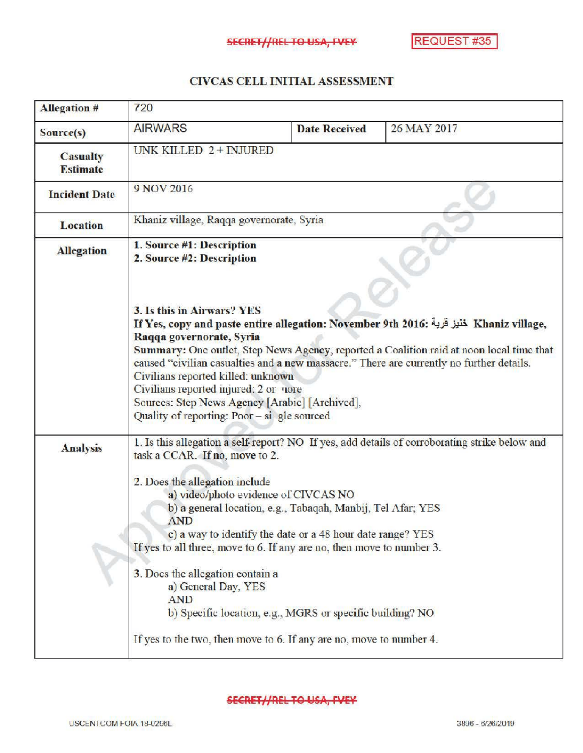## CIVCAS CELL INITIAL ASSESSMENT

| <b>Allegation #</b>                | 720                                                                                                                                                                                                                                                                                                                                                                                                                                                                                                                                                                                                                                        |                      |             |
|------------------------------------|--------------------------------------------------------------------------------------------------------------------------------------------------------------------------------------------------------------------------------------------------------------------------------------------------------------------------------------------------------------------------------------------------------------------------------------------------------------------------------------------------------------------------------------------------------------------------------------------------------------------------------------------|----------------------|-------------|
| Source(s)                          | <b>AIRWARS</b>                                                                                                                                                                                                                                                                                                                                                                                                                                                                                                                                                                                                                             | <b>Date Received</b> | 26 MAY 2017 |
| <b>Casualty</b><br><b>Estimate</b> | UNK KILLED 2 + INJURED                                                                                                                                                                                                                                                                                                                                                                                                                                                                                                                                                                                                                     |                      |             |
| <b>Incident Date</b>               | 9 NOV 2016                                                                                                                                                                                                                                                                                                                                                                                                                                                                                                                                                                                                                                 |                      |             |
| <b>Location</b>                    | Khaniz village, Raqqa governorate, Syria                                                                                                                                                                                                                                                                                                                                                                                                                                                                                                                                                                                                   |                      |             |
| <b>Allegation</b>                  | 1. Source #1: Description<br>2. Source #2: Description<br>3. Is this in Airwars? YES                                                                                                                                                                                                                                                                                                                                                                                                                                                                                                                                                       |                      |             |
|                                    | If Yes, copy and paste entire allegation: November 9th 2016: خَنْيز عَربة Khaniz village,<br>Raqqa governorate, Syria<br>Summary: One outlet, Step News Agency, reported a Coalition raid at noon local time that<br>caused "civilian casualties and a new massacre." There are currently no further details.<br>Civilians reported killed: unknown<br>Civilians reported injured: 2 or nore<br>Sources: Step News Agency [Arabic] [Archived],<br>Quality of reporting: Poor - si gle sourced                                                                                                                                              |                      |             |
| <b>Analysis</b>                    | 1. Is this allegation a self-report? NO If yes, add details of corroborating strike below and<br>task a CCAR. If no, move to 2.<br>2. Does the allegation include<br>a) video/photo evidence of CIVCAS NO<br>b) a general location, e.g., Tabaqah, Manbij, Tel Afar; YES<br><b>AND</b><br>c) a way to identify the date or a 48 hour date range? YES<br>If yes to all three, move to 6. If any are no, then move to number 3.<br>3. Does the allegation contain a<br>a) General Day, YES<br><b>AND</b><br>b) Specific location, e.g., MGRS or specific building? NO<br>If yes to the two, then move to 6. If any are no, move to number 4. |                      |             |
|                                    |                                                                                                                                                                                                                                                                                                                                                                                                                                                                                                                                                                                                                                            |                      |             |

## **SECRET//REL TO USA, FVEY**